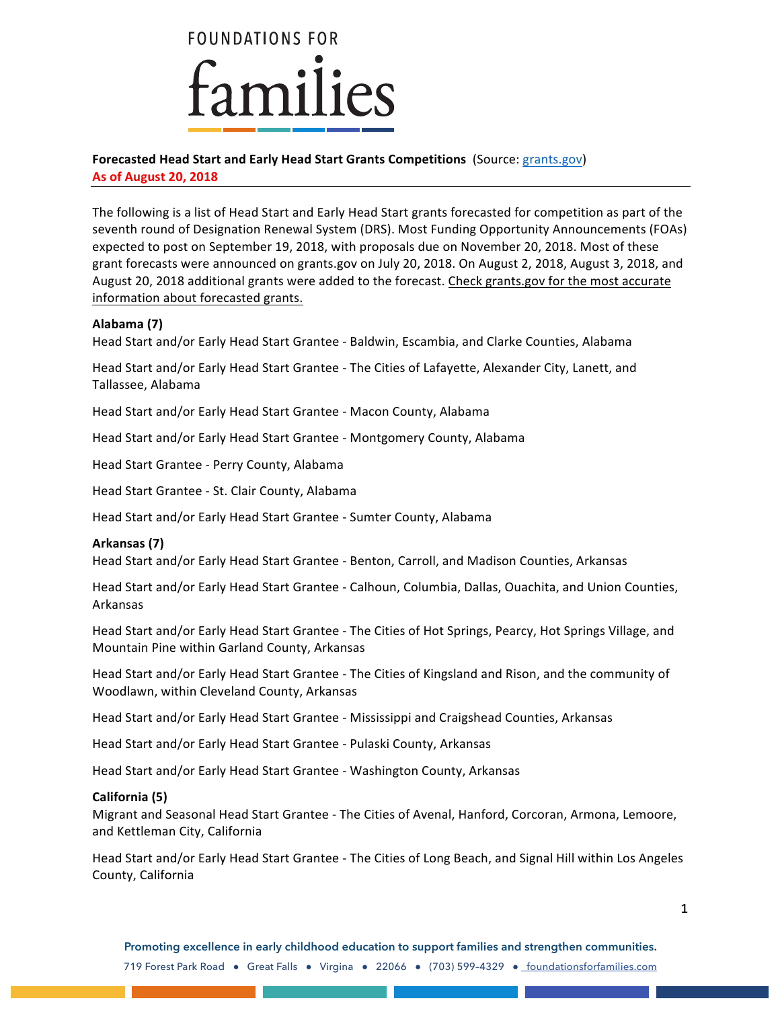

# **Forecasted Head Start and Early Head Start Grants Competitions** (Source: grants.gov)

**As of August 20, 2018**

The following is a list of Head Start and Early Head Start grants forecasted for competition as part of the seventh round of Designation Renewal System (DRS). Most Funding Opportunity Announcements (FOAs) expected to post on September 19, 2018, with proposals due on November 20, 2018. Most of these grant forecasts were announced on grants.gov on July 20, 2018. On August 2, 2018, August 3, 2018, and August 20, 2018 additional grants were added to the forecast. Check grants.gov for the most accurate information about forecasted grants.

## **Alabama (7)**

Head Start and/or Early Head Start Grantee - Baldwin, Escambia, and Clarke Counties, Alabama

Head Start and/or Early Head Start Grantee - The Cities of Lafayette, Alexander City, Lanett, and Tallassee, Alabama

Head Start and/or Early Head Start Grantee - Macon County, Alabama

Head Start and/or Early Head Start Grantee - Montgomery County, Alabama

Head Start Grantee - Perry County, Alabama

Head Start Grantee - St. Clair County, Alabama

Head Start and/or Early Head Start Grantee - Sumter County, Alabama

## **Arkansas (7)**

Head Start and/or Early Head Start Grantee - Benton, Carroll, and Madison Counties, Arkansas

Head Start and/or Early Head Start Grantee - Calhoun, Columbia, Dallas, Ouachita, and Union Counties, Arkansas

Head Start and/or Early Head Start Grantee - The Cities of Hot Springs, Pearcy, Hot Springs Village, and Mountain Pine within Garland County, Arkansas

Head Start and/or Early Head Start Grantee - The Cities of Kingsland and Rison, and the community of Woodlawn, within Cleveland County, Arkansas

Head Start and/or Early Head Start Grantee - Mississippi and Craigshead Counties, Arkansas

Head Start and/or Early Head Start Grantee - Pulaski County, Arkansas

Head Start and/or Early Head Start Grantee - Washington County, Arkansas

## **California (5)**

Migrant and Seasonal Head Start Grantee - The Cities of Avenal, Hanford, Corcoran, Armona, Lemoore, and Kettleman City, California

Head Start and/or Early Head Start Grantee - The Cities of Long Beach, and Signal Hill within Los Angeles County, California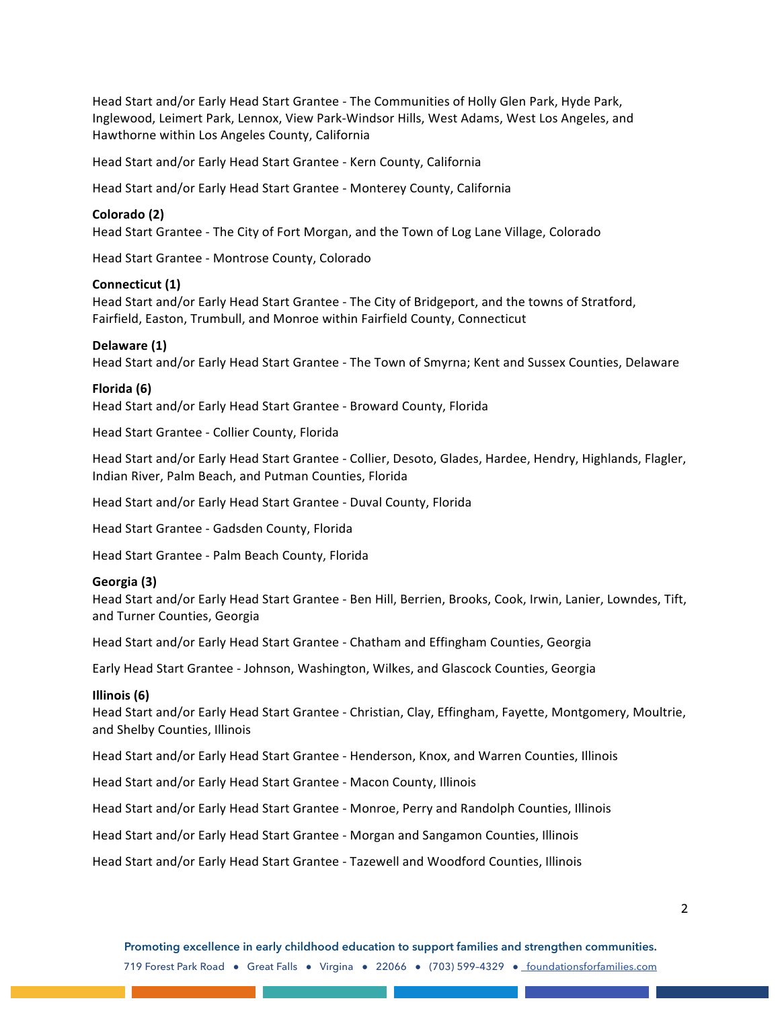Head Start and/or Early Head Start Grantee - The Communities of Holly Glen Park, Hyde Park, Inglewood, Leimert Park, Lennox, View Park-Windsor Hills, West Adams, West Los Angeles, and Hawthorne within Los Angeles County, California

Head Start and/or Early Head Start Grantee - Kern County, California

Head Start and/or Early Head Start Grantee - Monterey County, California

#### **Colorado (2)**

Head Start Grantee - The City of Fort Morgan, and the Town of Log Lane Village, Colorado

Head Start Grantee - Montrose County, Colorado

### **Connecticut (1)**

Head Start and/or Early Head Start Grantee - The City of Bridgeport, and the towns of Stratford, Fairfield, Easton, Trumbull, and Monroe within Fairfield County, Connecticut

#### **Delaware (1)**

Head Start and/or Early Head Start Grantee - The Town of Smyrna; Kent and Sussex Counties, Delaware

### **Florida (6)**

Head Start and/or Early Head Start Grantee - Broward County, Florida

Head Start Grantee - Collier County, Florida

Head Start and/or Early Head Start Grantee - Collier, Desoto, Glades, Hardee, Hendry, Highlands, Flagler, Indian River, Palm Beach, and Putman Counties, Florida

Head Start and/or Early Head Start Grantee - Duval County, Florida

Head Start Grantee - Gadsden County, Florida

Head Start Grantee - Palm Beach County, Florida

### **Georgia (3)**

Head Start and/or Early Head Start Grantee - Ben Hill, Berrien, Brooks, Cook, Irwin, Lanier, Lowndes, Tift, and Turner Counties, Georgia

Head Start and/or Early Head Start Grantee - Chatham and Effingham Counties, Georgia

Early Head Start Grantee - Johnson, Washington, Wilkes, and Glascock Counties, Georgia

#### **Illinois (6)**

Head Start and/or Early Head Start Grantee - Christian, Clay, Effingham, Fayette, Montgomery, Moultrie, and Shelby Counties, Illinois

Head Start and/or Early Head Start Grantee - Henderson, Knox, and Warren Counties, Illinois

Head Start and/or Early Head Start Grantee - Macon County, Illinois

Head Start and/or Early Head Start Grantee - Monroe, Perry and Randolph Counties, Illinois

Head Start and/or Early Head Start Grantee - Morgan and Sangamon Counties, Illinois

Head Start and/or Early Head Start Grantee - Tazewell and Woodford Counties, Illinois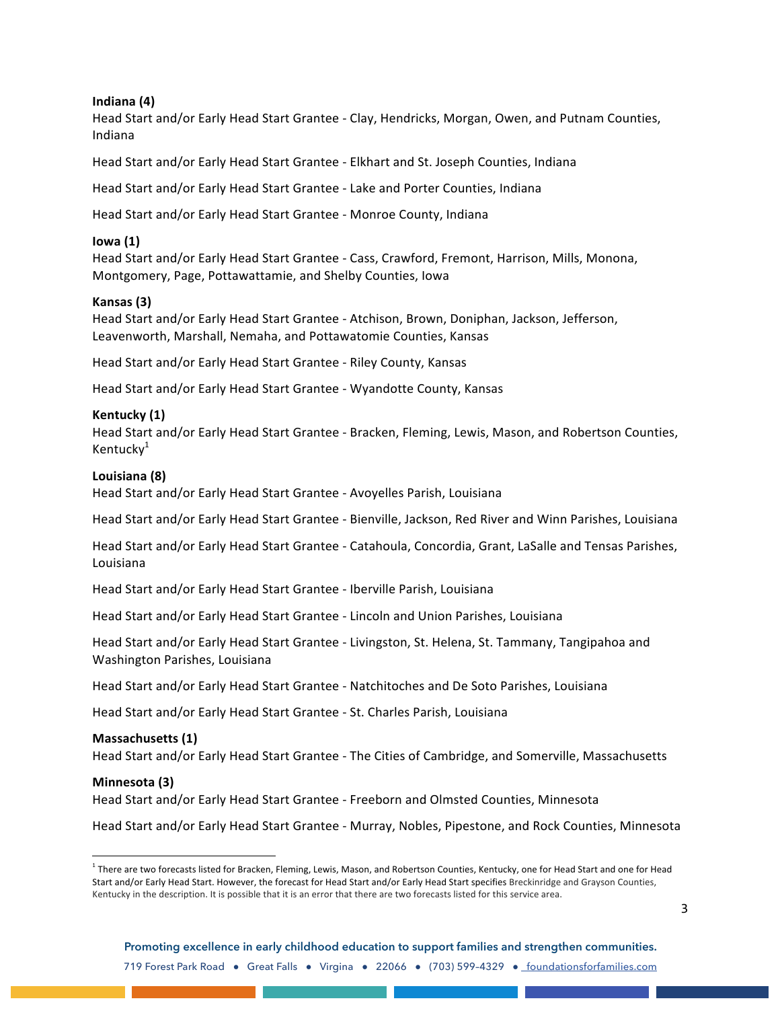## **Indiana (4)**

Head Start and/or Early Head Start Grantee - Clay, Hendricks, Morgan, Owen, and Putnam Counties, Indiana

Head Start and/or Early Head Start Grantee - Elkhart and St. Joseph Counties, Indiana

Head Start and/or Early Head Start Grantee - Lake and Porter Counties, Indiana

Head Start and/or Early Head Start Grantee - Monroe County, Indiana

## **Iowa (1)**

Head Start and/or Early Head Start Grantee - Cass, Crawford, Fremont, Harrison, Mills, Monona, Montgomery, Page, Pottawattamie, and Shelby Counties, Iowa

## **Kansas (3)**

Head Start and/or Early Head Start Grantee - Atchison, Brown, Doniphan, Jackson, Jefferson, Leavenworth, Marshall, Nemaha, and Pottawatomie Counties, Kansas

Head Start and/or Early Head Start Grantee - Riley County, Kansas

Head Start and/or Early Head Start Grantee - Wyandotte County, Kansas

## **Kentucky (1)**

Head Start and/or Early Head Start Grantee - Bracken, Fleming, Lewis, Mason, and Robertson Counties, Kentucky<sup>1</sup>

## **Louisiana (8)**

Head Start and/or Early Head Start Grantee - Avoyelles Parish, Louisiana

Head Start and/or Early Head Start Grantee - Bienville, Jackson, Red River and Winn Parishes, Louisiana

Head Start and/or Early Head Start Grantee - Catahoula, Concordia, Grant, LaSalle and Tensas Parishes, Louisiana

Head Start and/or Early Head Start Grantee - Iberville Parish, Louisiana

Head Start and/or Early Head Start Grantee - Lincoln and Union Parishes, Louisiana

Head Start and/or Early Head Start Grantee - Livingston, St. Helena, St. Tammany, Tangipahoa and Washington Parishes, Louisiana

Head Start and/or Early Head Start Grantee - Natchitoches and De Soto Parishes, Louisiana

Head Start and/or Early Head Start Grantee - St. Charles Parish, Louisiana

## **Massachusetts (1)**

<u> Andreas Andreas Andreas Andreas Andreas Andreas Andreas Andreas Andreas Andreas Andreas Andreas Andreas Andre</u>

Head Start and/or Early Head Start Grantee - The Cities of Cambridge, and Somerville, Massachusetts

### **Minnesota (3)**

Head Start and/or Early Head Start Grantee - Freeborn and Olmsted Counties, Minnesota

Head Start and/or Early Head Start Grantee - Murray, Nobles, Pipestone, and Rock Counties, Minnesota

**Promoting excellence in early childhood education to support families and strengthen communities.** 719 Forest Park Road • Great Falls • Virgina • 22066 • (703) 599-4329 • foundationsforfamilies.com

<sup>&</sup>lt;sup>1</sup> There are two forecasts listed for Bracken, Fleming, Lewis, Mason, and Robertson Counties, Kentucky, one for Head Start and one for Head Start and/or Early Head Start. However, the forecast for Head Start and/or Early Head Start specifies Breckinridge and Grayson Counties, Kentucky in the description. It is possible that it is an error that there are two forecasts listed for this service area.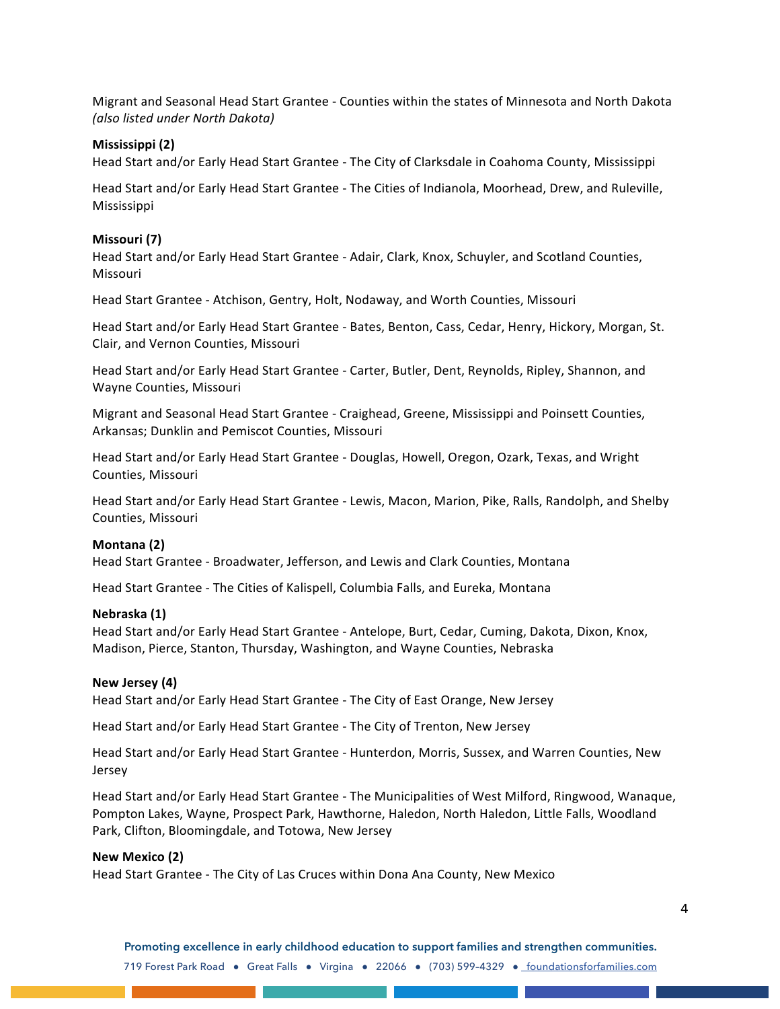Migrant and Seasonal Head Start Grantee - Counties within the states of Minnesota and North Dakota *(also listed under North Dakota)*

### **Mississippi (2)**

Head Start and/or Early Head Start Grantee - The City of Clarksdale in Coahoma County, Mississippi

Head Start and/or Early Head Start Grantee - The Cities of Indianola, Moorhead, Drew, and Ruleville, Mississippi

#### **Missouri (7)**

Head Start and/or Early Head Start Grantee - Adair, Clark, Knox, Schuyler, and Scotland Counties, Missouri

Head Start Grantee - Atchison, Gentry, Holt, Nodaway, and Worth Counties, Missouri

Head Start and/or Early Head Start Grantee - Bates, Benton, Cass, Cedar, Henry, Hickory, Morgan, St. Clair, and Vernon Counties, Missouri

Head Start and/or Early Head Start Grantee - Carter, Butler, Dent, Reynolds, Ripley, Shannon, and Wayne Counties, Missouri

Migrant and Seasonal Head Start Grantee - Craighead, Greene, Mississippi and Poinsett Counties, Arkansas; Dunklin and Pemiscot Counties, Missouri

Head Start and/or Early Head Start Grantee - Douglas, Howell, Oregon, Ozark, Texas, and Wright Counties, Missouri

Head Start and/or Early Head Start Grantee - Lewis, Macon, Marion, Pike, Ralls, Randolph, and Shelby Counties, Missouri

### **Montana (2)**

Head Start Grantee - Broadwater, Jefferson, and Lewis and Clark Counties, Montana

Head Start Grantee - The Cities of Kalispell, Columbia Falls, and Eureka, Montana

#### **Nebraska (1)**

Head Start and/or Early Head Start Grantee - Antelope, Burt, Cedar, Cuming, Dakota, Dixon, Knox, Madison, Pierce, Stanton, Thursday, Washington, and Wayne Counties, Nebraska

### **New Jersey (4)**

Head Start and/or Early Head Start Grantee - The City of East Orange, New Jersey

Head Start and/or Early Head Start Grantee - The City of Trenton, New Jersey

Head Start and/or Early Head Start Grantee - Hunterdon, Morris, Sussex, and Warren Counties, New Jersey

Head Start and/or Early Head Start Grantee - The Municipalities of West Milford, Ringwood, Wanaque, Pompton Lakes, Wayne, Prospect Park, Hawthorne, Haledon, North Haledon, Little Falls, Woodland Park, Clifton, Bloomingdale, and Totowa, New Jersey

### **New Mexico (2)**

Head Start Grantee - The City of Las Cruces within Dona Ana County, New Mexico

**Promoting excellence in early childhood education to support families and strengthen communities.** 719 Forest Park Road • Great Falls • Virgina • 22066 • (703) 599-4329 • foundationsforfamilies.com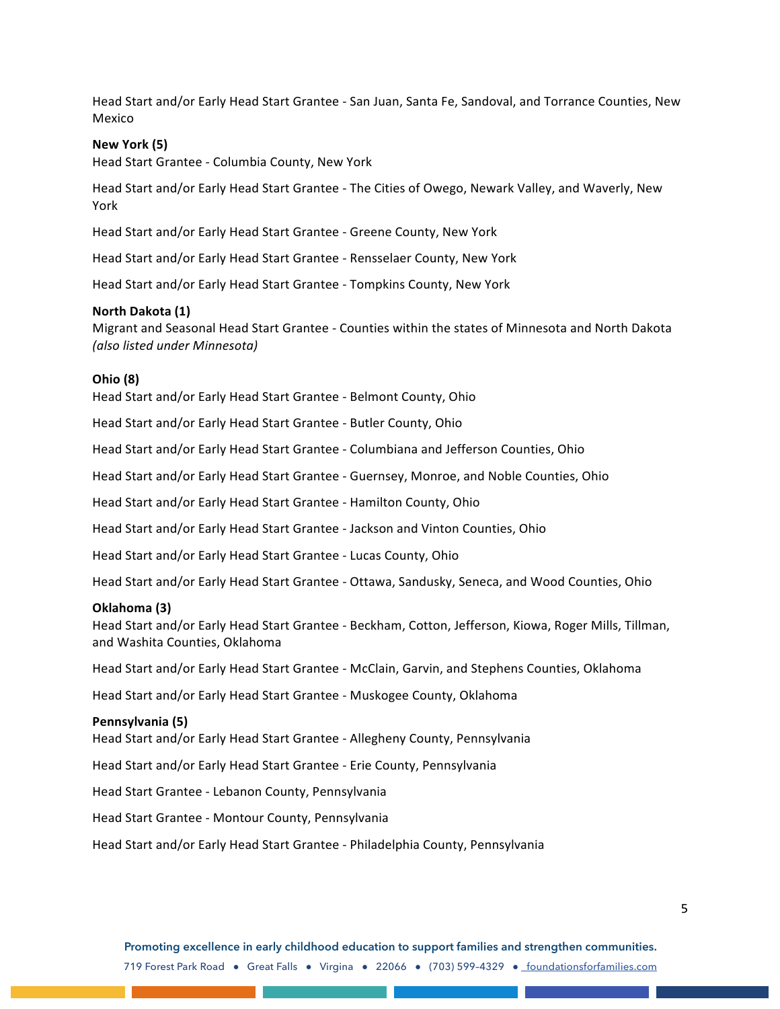Head Start and/or Early Head Start Grantee - San Juan, Santa Fe, Sandoval, and Torrance Counties, New Mexico

## **New York (5)**

Head Start Grantee - Columbia County, New York

Head Start and/or Early Head Start Grantee - The Cities of Owego, Newark Valley, and Waverly, New York

Head Start and/or Early Head Start Grantee - Greene County, New York

Head Start and/or Early Head Start Grantee - Rensselaer County, New York

Head Start and/or Early Head Start Grantee - Tompkins County, New York

#### **North Dakota (1)**

Migrant and Seasonal Head Start Grantee - Counties within the states of Minnesota and North Dakota *(also listed under Minnesota)*

#### **Ohio (8)**

Head Start and/or Early Head Start Grantee - Belmont County, Ohio

Head Start and/or Early Head Start Grantee - Butler County, Ohio

Head Start and/or Early Head Start Grantee - Columbiana and Jefferson Counties, Ohio

Head Start and/or Early Head Start Grantee - Guernsey, Monroe, and Noble Counties, Ohio

Head Start and/or Early Head Start Grantee - Hamilton County, Ohio

Head Start and/or Early Head Start Grantee - Jackson and Vinton Counties, Ohio

Head Start and/or Early Head Start Grantee - Lucas County, Ohio

Head Start and/or Early Head Start Grantee - Ottawa, Sandusky, Seneca, and Wood Counties, Ohio

#### **Oklahoma (3)**

Head Start and/or Early Head Start Grantee - Beckham, Cotton, Jefferson, Kiowa, Roger Mills, Tillman, and Washita Counties, Oklahoma

Head Start and/or Early Head Start Grantee - McClain, Garvin, and Stephens Counties, Oklahoma

Head Start and/or Early Head Start Grantee - Muskogee County, Oklahoma

#### **Pennsylvania (5)**

Head Start and/or Early Head Start Grantee - Allegheny County, Pennsylvania

Head Start and/or Early Head Start Grantee - Erie County, Pennsylvania

Head Start Grantee - Lebanon County, Pennsylvania

Head Start Grantee - Montour County, Pennsylvania

Head Start and/or Early Head Start Grantee - Philadelphia County, Pennsylvania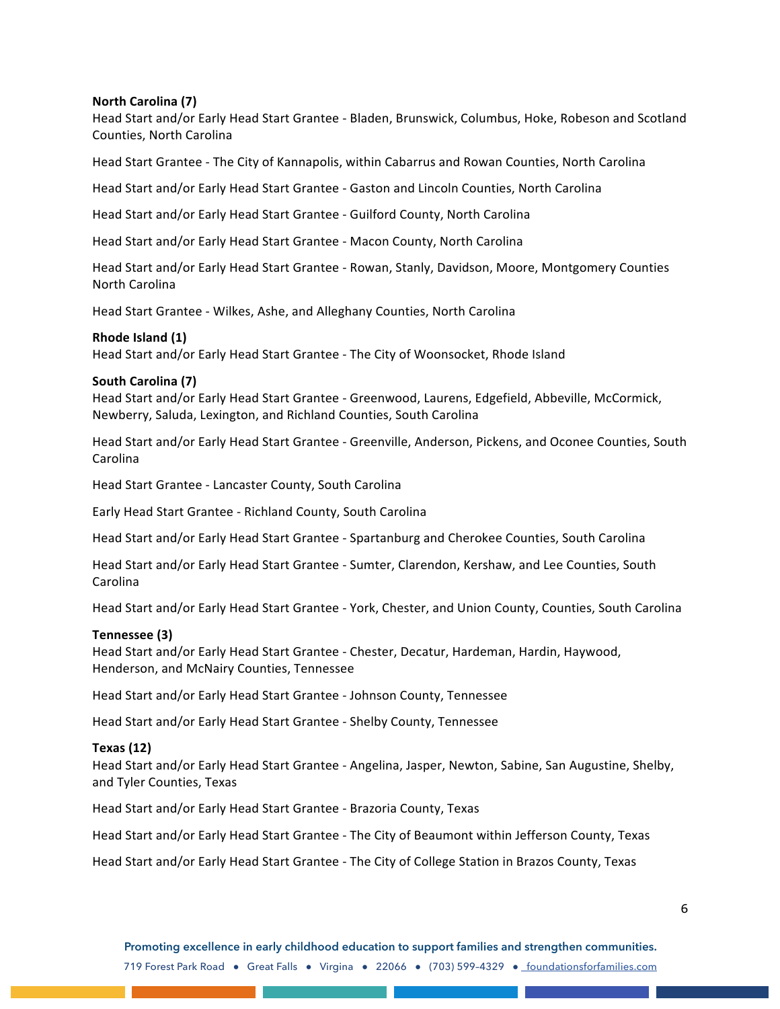## **North Carolina (7)**

Head Start and/or Early Head Start Grantee - Bladen, Brunswick, Columbus, Hoke, Robeson and Scotland Counties, North Carolina

Head Start Grantee - The City of Kannapolis, within Cabarrus and Rowan Counties, North Carolina

Head Start and/or Early Head Start Grantee - Gaston and Lincoln Counties, North Carolina

Head Start and/or Early Head Start Grantee - Guilford County, North Carolina

Head Start and/or Early Head Start Grantee - Macon County, North Carolina

Head Start and/or Early Head Start Grantee - Rowan, Stanly, Davidson, Moore, Montgomery Counties North Carolina

Head Start Grantee - Wilkes, Ashe, and Alleghany Counties, North Carolina

## **Rhode Island (1)**

Head Start and/or Early Head Start Grantee - The City of Woonsocket, Rhode Island

## **South Carolina (7)**

Head Start and/or Early Head Start Grantee - Greenwood, Laurens, Edgefield, Abbeville, McCormick, Newberry, Saluda, Lexington, and Richland Counties, South Carolina

Head Start and/or Early Head Start Grantee - Greenville, Anderson, Pickens, and Oconee Counties, South Carolina

Head Start Grantee - Lancaster County, South Carolina

Early Head Start Grantee - Richland County, South Carolina

Head Start and/or Early Head Start Grantee - Spartanburg and Cherokee Counties, South Carolina

Head Start and/or Early Head Start Grantee - Sumter, Clarendon, Kershaw, and Lee Counties, South Carolina

Head Start and/or Early Head Start Grantee - York, Chester, and Union County, Counties, South Carolina

### **Tennessee (3)**

Head Start and/or Early Head Start Grantee - Chester, Decatur, Hardeman, Hardin, Haywood, Henderson, and McNairy Counties, Tennessee

Head Start and/or Early Head Start Grantee - Johnson County, Tennessee

Head Start and/or Early Head Start Grantee - Shelby County, Tennessee

## **Texas (12)**

Head Start and/or Early Head Start Grantee - Angelina, Jasper, Newton, Sabine, San Augustine, Shelby, and Tyler Counties, Texas

Head Start and/or Early Head Start Grantee - Brazoria County, Texas

Head Start and/or Early Head Start Grantee - The City of Beaumont within Jefferson County, Texas

Head Start and/or Early Head Start Grantee - The City of College Station in Brazos County, Texas